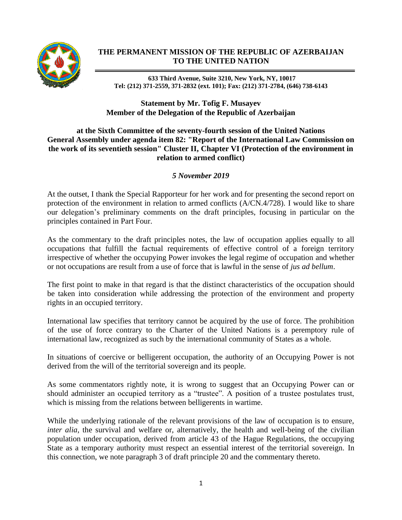

## **THE PERMANENT MISSION OF THE REPUBLIC OF AZERBAIJAN TO THE UNITED NATION**

**633 Third Avenue, Suite 3210, New York, NY, 10017 Tel: (212) 371-2559, 371-2832 (ext. 101); Fax: (212) 371-2784, (646) 738-6143**

## **Statement by Mr. Tofig F. Musayev Member of the Delegation of the Republic of Azerbaijan**

## **at the Sixth Committee of the seventy-fourth session of the United Nations General Assembly under agenda item 82: "Report of the International Law Commission on the work of its seventieth session" Cluster II, Chapter VI (Protection of the environment in relation to armed conflict)**

## *5 November 2019*

At the outset, I thank the Special Rapporteur for her work and for presenting the second report on protection of the environment in relation to armed conflicts (A/CN.4/728). I would like to share our delegation's preliminary comments on the draft principles, focusing in particular on the principles contained in Part Four.

As the commentary to the draft principles notes, the law of occupation applies equally to all occupations that fulfill the factual requirements of effective control of a foreign territory irrespective of whether the occupying Power invokes the legal regime of occupation and whether or not occupations are result from a use of force that is lawful in the sense of *jus ad bellum*.

The first point to make in that regard is that the distinct characteristics of the occupation should be taken into consideration while addressing the protection of the environment and property rights in an occupied territory.

International law specifies that territory cannot be acquired by the use of force. The prohibition of the use of force contrary to the Charter of the United Nations is a peremptory rule of international law, recognized as such by the international community of States as a whole.

In situations of coercive or belligerent occupation, the authority of an Occupying Power is not derived from the will of the territorial sovereign and its people.

As some commentators rightly note, it is wrong to suggest that an Occupying Power can or should administer an occupied territory as a "trustee". A position of a trustee postulates trust, which is missing from the relations between belligerents in wartime.

While the underlying rationale of the relevant provisions of the law of occupation is to ensure, *inter alia*, the survival and welfare or, alternatively, the health and well-being of the civilian population under occupation, derived from article 43 of the Hague Regulations, the occupying State as a temporary authority must respect an essential interest of the territorial sovereign. In this connection, we note paragraph 3 of draft principle 20 and the commentary thereto.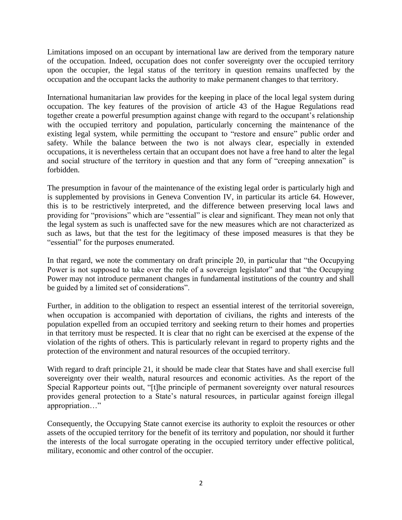Limitations imposed on an occupant by international law are derived from the temporary nature of the occupation. Indeed, occupation does not confer sovereignty over the occupied territory upon the occupier, the legal status of the territory in question remains unaffected by the occupation and the occupant lacks the authority to make permanent changes to that territory.

International humanitarian law provides for the keeping in place of the local legal system during occupation. The key features of the provision of article 43 of the Hague Regulations read together create a powerful presumption against change with regard to the occupant's relationship with the occupied territory and population, particularly concerning the maintenance of the existing legal system, while permitting the occupant to "restore and ensure" public order and safety. While the balance between the two is not always clear, especially in extended occupations, it is nevertheless certain that an occupant does not have a free hand to alter the legal and social structure of the territory in question and that any form of "creeping annexation" is forbidden.

The presumption in favour of the maintenance of the existing legal order is particularly high and is supplemented by provisions in Geneva Convention IV, in particular its article 64. However, this is to be restrictively interpreted, and the difference between preserving local laws and providing for "provisions" which are "essential" is clear and significant. They mean not only that the legal system as such is unaffected save for the new measures which are not characterized as such as laws, but that the test for the legitimacy of these imposed measures is that they be "essential" for the purposes enumerated.

In that regard, we note the commentary on draft principle 20, in particular that "the Occupying Power is not supposed to take over the role of a sovereign legislator" and that "the Occupying Power may not introduce permanent changes in fundamental institutions of the country and shall be guided by a limited set of considerations".

Further, in addition to the obligation to respect an essential interest of the territorial sovereign, when occupation is accompanied with deportation of civilians, the rights and interests of the population expelled from an occupied territory and seeking return to their homes and properties in that territory must be respected. It is clear that no right can be exercised at the expense of the violation of the rights of others. This is particularly relevant in regard to property rights and the protection of the environment and natural resources of the occupied territory.

With regard to draft principle 21, it should be made clear that States have and shall exercise full sovereignty over their wealth, natural resources and economic activities. As the report of the Special Rapporteur points out, "[t]he principle of permanent sovereignty over natural resources provides general protection to a State's natural resources, in particular against foreign illegal appropriation…"

Consequently, the Occupying State cannot exercise its authority to exploit the resources or other assets of the occupied territory for the benefit of its territory and population, nor should it further the interests of the local surrogate operating in the occupied territory under effective political, military, economic and other control of the occupier.